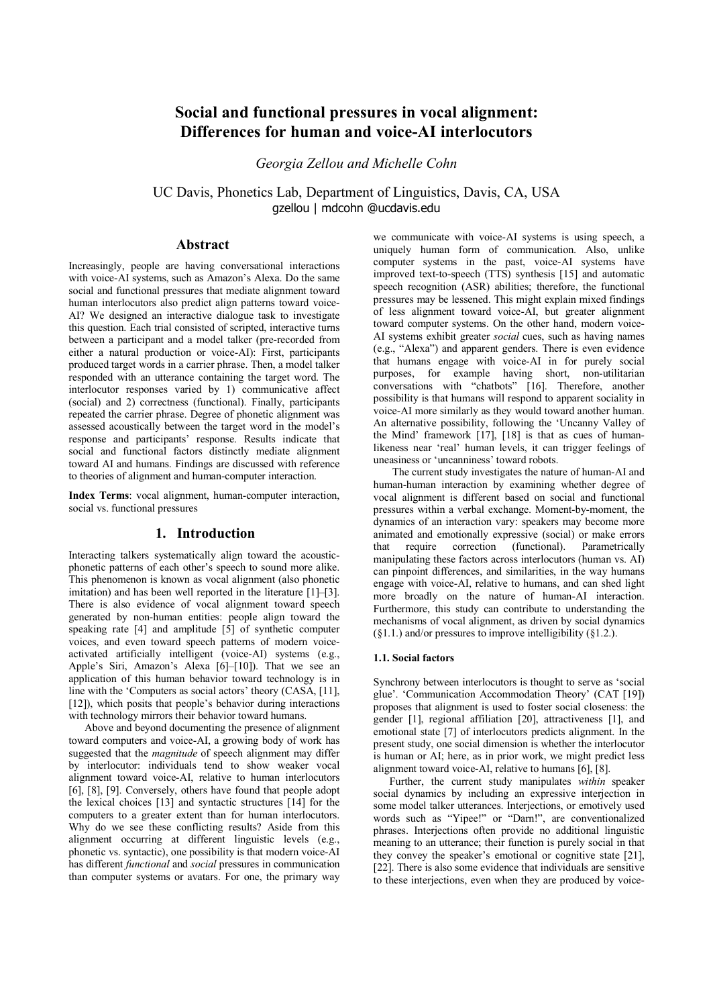# **Social and functional pressures in vocal alignment: Differences for human and voice-AI interlocutors**

*Georgia Zellou and Michelle Cohn* 

UC Davis, Phonetics Lab, Department of Linguistics, Davis, CA, USA gzellou | mdcohn @ucdavis.edu

## **Abstract**

Increasingly, people are having conversational interactions with voice-AI systems, such as Amazon's Alexa. Do the same social and functional pressures that mediate alignment toward human interlocutors also predict align patterns toward voice-AI? We designed an interactive dialogue task to investigate this question. Each trial consisted of scripted, interactive turns between a participant and a model talker (pre-recorded from either a natural production or voice-AI): First, participants produced target words in a carrier phrase. Then, a model talker responded with an utterance containing the target word. The interlocutor responses varied by 1) communicative affect (social) and 2) correctness (functional). Finally, participants repeated the carrier phrase. Degree of phonetic alignment was assessed acoustically between the target word in the model's response and participants' response. Results indicate that social and functional factors distinctly mediate alignment toward AI and humans. Findings are discussed with reference to theories of alignment and human-computer interaction.

**Index Terms**: vocal alignment, human-computer interaction, social vs. functional pressures

## **1. Introduction**

Interacting talkers systematically align toward the acousticphonetic patterns of each other's speech to sound more alike. This phenomenon is known as vocal alignment (also phonetic imitation) and has been well reported in the literature [1]–[3]. There is also evidence of vocal alignment toward speech generated by non-human entities: people align toward the speaking rate  $[4]$  and amplitude  $[5]$  of synthetic computer voices, and even toward speech patterns of modern voiceactivated artificially intelligent (voice-AI) systems (e.g., Apple's Siri, Amazon's Alexa [6]–[10]). That we see an application of this human behavior toward technology is in line with the 'Computers as social actors' theory (CASA, [11], [12]), which posits that people's behavior during interactions with technology mirrors their behavior toward humans.

Above and beyond documenting the presence of alignment toward computers and voice-AI, a growing body of work has suggested that the *magnitude* of speech alignment may differ by interlocutor: individuals tend to show weaker vocal alignment toward voice-AI, relative to human interlocutors [6], [8], [9]. Conversely, others have found that people adopt the lexical choices [13] and syntactic structures [14] for the computers to a greater extent than for human interlocutors. Why do we see these conflicting results? Aside from this alignment occurring at different linguistic levels (e.g., phonetic vs. syntactic), one possibility is that modern voice-AI has different *functional* and *social* pressures in communication than computer systems or avatars. For one, the primary way

we communicate with voice-AI systems is using speech, a uniquely human form of communication. Also, unlike computer systems in the past, voice-AI systems have improved text-to-speech (TTS) synthesis [15] and automatic speech recognition (ASR) abilities; therefore, the functional pressures may be lessened. This might explain mixed findings of less alignment toward voice-AI, but greater alignment toward computer systems. On the other hand, modern voice-AI systems exhibit greater *social* cues, such as having names (e.g., "Alexa") and apparent genders. There is even evidence that humans engage with voice-AI in for purely social purposes, for example having short, non-utilitarian conversations with "chatbots" [16]. Therefore, another possibility is that humans will respond to apparent sociality in voice-AI more similarly as they would toward another human. An alternative possibility, following the 'Uncanny Valley of the Mind' framework [17], [18] is that as cues of humanlikeness near 'real' human levels, it can trigger feelings of uneasiness or 'uncanniness' toward robots.

The current study investigates the nature of human-AI and human-human interaction by examining whether degree of vocal alignment is different based on social and functional pressures within a verbal exchange. Moment-by-moment, the dynamics of an interaction vary: speakers may become more animated and emotionally expressive (social) or make errors that require correction (functional). Parametrically manipulating these factors across interlocutors (human vs. AI) can pinpoint differences, and similarities, in the way humans engage with voice-AI, relative to humans, and can shed light more broadly on the nature of human-AI interaction. Furthermore, this study can contribute to understanding the mechanisms of vocal alignment, as driven by social dynamics  $(\S1.1.)$  and/or pressures to improve intelligibility  $(\S1.2.)$ .

#### **1.1. Social factors**

Synchrony between interlocutors is thought to serve as 'social glue'. 'Communication Accommodation Theory' (CAT [19]) proposes that alignment is used to foster social closeness: the gender [1], regional affiliation [20], attractiveness [1], and emotional state [7] of interlocutors predicts alignment. In the present study, one social dimension is whether the interlocutor is human or AI; here, as in prior work, we might predict less alignment toward voice-AI, relative to humans [6], [8].

Further, the current study manipulates *within* speaker social dynamics by including an expressive interjection in some model talker utterances. Interjections, or emotively used words such as "Yipee!" or "Darn!", are conventionalized phrases. Interjections often provide no additional linguistic meaning to an utterance; their function is purely social in that they convey the speaker's emotional or cognitive state [21], [22]. There is also some evidence that individuals are sensitive to these interjections, even when they are produced by voice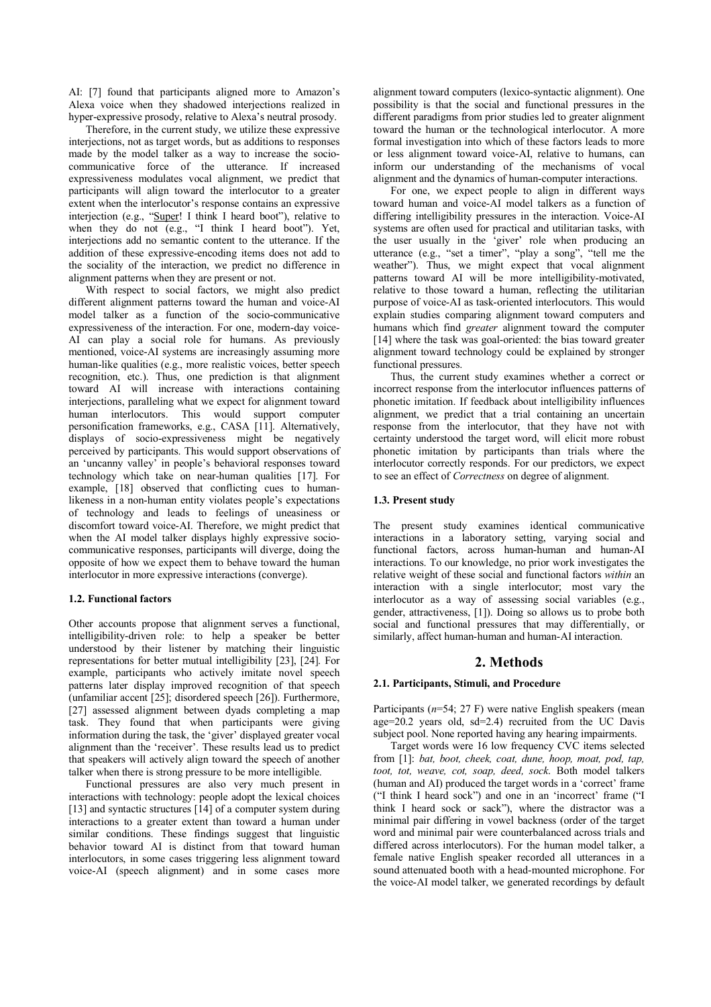AI: [7] found that participants aligned more to Amazon's Alexa voice when they shadowed interjections realized in hyper-expressive prosody, relative to Alexa's neutral prosody.

Therefore, in the current study, we utilize these expressive interjections, not as target words, but as additions to responses made by the model talker as a way to increase the sociocommunicative force of the utterance. If increased expressiveness modulates vocal alignment, we predict that participants will align toward the interlocutor to a greater extent when the interlocutor's response contains an expressive interjection (e.g., "Super! I think I heard boot"), relative to when they do not (e.g., "I think I heard boot"). Yet, interjections add no semantic content to the utterance. If the addition of these expressive-encoding items does not add to the sociality of the interaction, we predict no difference in alignment patterns when they are present or not.

With respect to social factors, we might also predict different alignment patterns toward the human and voice-AI model talker as a function of the socio-communicative expressiveness of the interaction. For one, modern-day voice-AI can play a social role for humans. As previously mentioned, voice-AI systems are increasingly assuming more human-like qualities (e.g., more realistic voices, better speech recognition, etc.). Thus, one prediction is that alignment toward AI will increase with interactions containing interjections, paralleling what we expect for alignment toward human interlocutors. This would support computer personification frameworks, e.g., CASA [11]. Alternatively, displays of socio-expressiveness might be negatively perceived by participants. This would support observations of an 'uncanny valley' in people's behavioral responses toward technology which take on near-human qualities [17]. For example, [18] observed that conflicting cues to humanlikeness in a non-human entity violates people's expectations of technology and leads to feelings of uneasiness or discomfort toward voice-AI. Therefore, we might predict that when the AI model talker displays highly expressive sociocommunicative responses, participants will diverge, doing the opposite of how we expect them to behave toward the human interlocutor in more expressive interactions (converge).

## **1.2. Functional factors**

Other accounts propose that alignment serves a functional, intelligibility-driven role: to help a speaker be better understood by their listener by matching their linguistic representations for better mutual intelligibility [23], [24]. For example, participants who actively imitate novel speech patterns later display improved recognition of that speech (unfamiliar accent [25]; disordered speech [26]). Furthermore, [27] assessed alignment between dyads completing a map task. They found that when participants were giving information during the task, the 'giver' displayed greater vocal alignment than the 'receiver'. These results lead us to predict that speakers will actively align toward the speech of another talker when there is strong pressure to be more intelligible.

Functional pressures are also very much present in interactions with technology: people adopt the lexical choices [13] and syntactic structures [14] of a computer system during interactions to a greater extent than toward a human under similar conditions. These findings suggest that linguistic behavior toward AI is distinct from that toward human interlocutors, in some cases triggering less alignment toward voice-AI (speech alignment) and in some cases more

alignment toward computers (lexico-syntactic alignment). One possibility is that the social and functional pressures in the different paradigms from prior studies led to greater alignment toward the human or the technological interlocutor. A more formal investigation into which of these factors leads to more or less alignment toward voice-AI, relative to humans, can inform our understanding of the mechanisms of vocal alignment and the dynamics of human-computer interactions.

For one, we expect people to align in different ways toward human and voice-AI model talkers as a function of differing intelligibility pressures in the interaction. Voice-AI systems are often used for practical and utilitarian tasks, with the user usually in the 'giver' role when producing an utterance (e.g., "set a timer", "play a song", "tell me the weather"). Thus, we might expect that vocal alignment patterns toward AI will be more intelligibility-motivated, relative to those toward a human, reflecting the utilitarian purpose of voice-AI as task-oriented interlocutors. This would explain studies comparing alignment toward computers and humans which find *greater* alignment toward the computer [14] where the task was goal-oriented: the bias toward greater alignment toward technology could be explained by stronger functional pressures.

Thus, the current study examines whether a correct or incorrect response from the interlocutor influences patterns of phonetic imitation. If feedback about intelligibility influences alignment, we predict that a trial containing an uncertain response from the interlocutor, that they have not with certainty understood the target word, will elicit more robust phonetic imitation by participants than trials where the interlocutor correctly responds. For our predictors, we expect to see an effect of *Correctness* on degree of alignment.

## **1.3. Present study**

The present study examines identical communicative interactions in a laboratory setting, varying social and functional factors, across human-human and human-AI interactions. To our knowledge, no prior work investigates the relative weight of these social and functional factors *within* an interaction with a single interlocutor; most vary the interlocutor as a way of assessing social variables (e.g., gender, attractiveness, [1]). Doing so allows us to probe both social and functional pressures that may differentially, or similarly, affect human-human and human-AI interaction.

## **2. Methods**

#### **2.1. Participants, Stimuli, and Procedure**

Participants (*n*=54; 27 F) were native English speakers (mean age=20.2 years old, sd=2.4) recruited from the UC Davis subject pool. None reported having any hearing impairments.

Target words were 16 low frequency CVC items selected from [1]: *bat, boot, cheek, coat, dune, hoop, moat, pod, tap, toot, tot, weave, cot, soap, deed, sock*. Both model talkers (human and AI) produced the target words in a 'correct' frame ("I think I heard sock") and one in an 'incorrect' frame ("I think I heard sock or sack"), where the distractor was a minimal pair differing in vowel backness (order of the target word and minimal pair were counterbalanced across trials and differed across interlocutors). For the human model talker, a female native English speaker recorded all utterances in a sound attenuated booth with a head-mounted microphone. For the voice-AI model talker, we generated recordings by default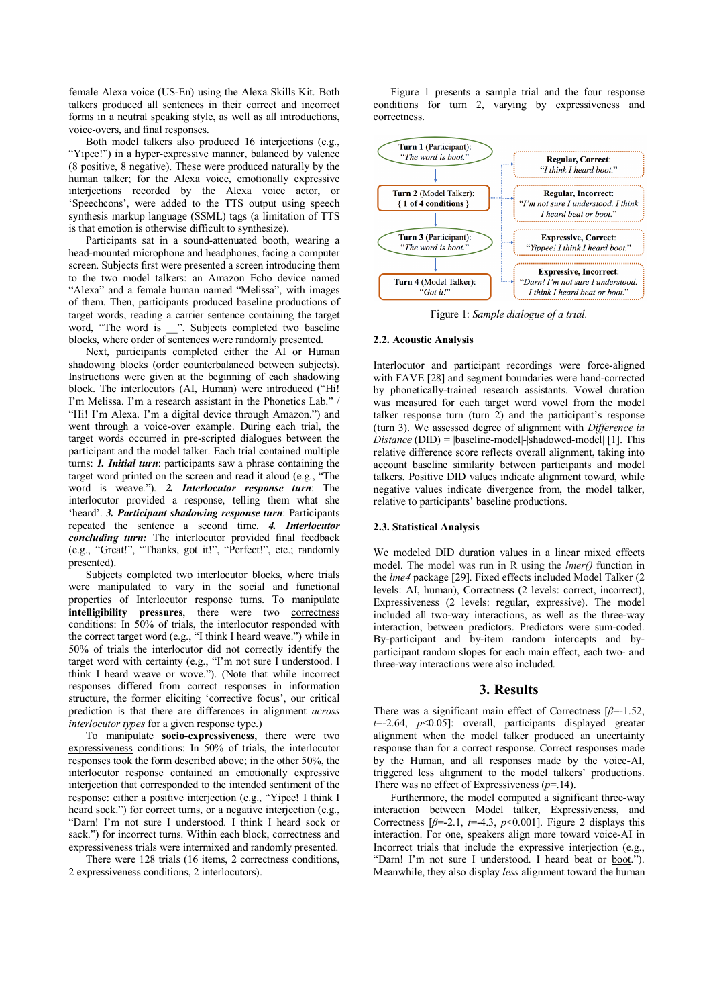female Alexa voice (US-En) using the Alexa Skills Kit. Both talkers produced all sentences in their correct and incorrect forms in a neutral speaking style, as well as all introductions, voice-overs, and final responses.

Both model talkers also produced 16 interjections (e.g., "Yipee!") in a hyper-expressive manner, balanced by valence (8 positive, 8 negative). These were produced naturally by the human talker: for the Alexa voice, emotionally expressive interjections recorded by the Alexa voice actor, or 'Speechcons', were added to the TTS output using speech synthesis markup language (SSML) tags (a limitation of TTS is that emotion is otherwise difficult to synthesize).

Participants sat in a sound-attenuated booth, wearing a head-mounted microphone and headphones, facing a computer screen. Subjects first were presented a screen introducing them to the two model talkers: an Amazon Echo device named "Alexa" and a female human named "Melissa", with images of them. Then, participants produced baseline productions of target words, reading a carrier sentence containing the target word, "The word is \_\_". Subjects completed two baseline blocks, where order of sentences were randomly presented.

Next, participants completed either the AI or Human shadowing blocks (order counterbalanced between subjects). Instructions were given at the beginning of each shadowing block. The interlocutors (AI, Human) were introduced ("Hi! I'm Melissa. I'm a research assistant in the Phonetics Lab." / "Hi! I'm Alexa. I'm a digital device through Amazon.") and went through a voice-over example. During each trial, the target words occurred in pre-scripted dialogues between the participant and the model talker. Each trial contained multiple turns: *1. Initial turn*: participants saw a phrase containing the target word printed on the screen and read it aloud (e.g., "The word is weave."). *2. Interlocutor response turn*: The interlocutor provided a response, telling them what she 'heard'. *3. Participant shadowing response turn*: Participants repeated the sentence a second time. *4. Interlocutor concluding turn:* The interlocutor provided final feedback (e.g., "Great!", "Thanks, got it!", "Perfect!", etc.; randomly presented).

Subjects completed two interlocutor blocks, where trials were manipulated to vary in the social and functional properties of Interlocutor response turns. To manipulate intelligibility pressures, there were two correctness conditions: In 50% of trials, the interlocutor responded with the correct target word (e.g., "I think I heard weave.") while in 50% of trials the interlocutor did not correctly identify the target word with certainty (e.g., "I'm not sure I understood. I think I heard weave or wove."). (Note that while incorrect responses differed from correct responses in information structure, the former eliciting 'corrective focus', our critical prediction is that there are differences in alignment *across interlocutor types* for a given response type.)

To manipulate **socio-expressiveness**, there were two expressiveness conditions: In 50% of trials, the interlocutor responses took the form described above; in the other 50%, the interlocutor response contained an emotionally expressive interjection that corresponded to the intended sentiment of the response: either a positive interjection (e.g., "Yipee! I think I heard sock.") for correct turns, or a negative interjection (e.g., "Darn! I'm not sure I understood. I think I heard sock or sack.") for incorrect turns. Within each block, correctness and expressiveness trials were intermixed and randomly presented.

There were 128 trials (16 items, 2 correctness conditions, 2 expressiveness conditions, 2 interlocutors).

Figure 1 presents a sample trial and the four response conditions for turn 2, varying by expressiveness and correctness.



Figure 1: *Sample dialogue of a trial.*

#### **2.2. Acoustic Analysis**

Interlocutor and participant recordings were force-aligned with FAVE [28] and segment boundaries were hand-corrected by phonetically-trained research assistants. Vowel duration was measured for each target word vowel from the model talker response turn (turn 2) and the participant's response (turn 3). We assessed degree of alignment with *Difference in Distance* (DID) =  $\beta$  |baseline-model|- $\beta$ |shadowed-model| [1]. This relative difference score reflects overall alignment, taking into account baseline similarity between participants and model talkers. Positive DID values indicate alignment toward, while negative values indicate divergence from, the model talker, relative to participants' baseline productions.

#### **2.3. Statistical Analysis**

We modeled DID duration values in a linear mixed effects model. The model was run in R using the *lmer()* function in the *lme4* package [29]. Fixed effects included Model Talker (2 levels: AI, human), Correctness (2 levels: correct, incorrect), Expressiveness (2 levels: regular, expressive). The model included all two-way interactions, as well as the three-way interaction, between predictors. Predictors were sum-coded. By-participant and by-item random intercepts and byparticipant random slopes for each main effect, each two- and three-way interactions were also included.

#### **3. Results**

There was a significant main effect of Correctness [*β*=-1.52, *t*=-2.64, *p*<0.05]: overall, participants displayed greater alignment when the model talker produced an uncertainty response than for a correct response. Correct responses made by the Human, and all responses made by the voice-AI, triggered less alignment to the model talkers' productions. There was no effect of Expressiveness (*p*=.14).

Furthermore, the model computed a significant three-way interaction between Model talker, Expressiveness, and Correctness  $\beta$ =-2.1, *t*=-4.3, *p*<0.001]. Figure 2 displays this interaction. For one, speakers align more toward voice-AI in Incorrect trials that include the expressive interjection (e.g., "Darn! I'm not sure I understood. I heard beat or boot."). Meanwhile, they also display *less* alignment toward the human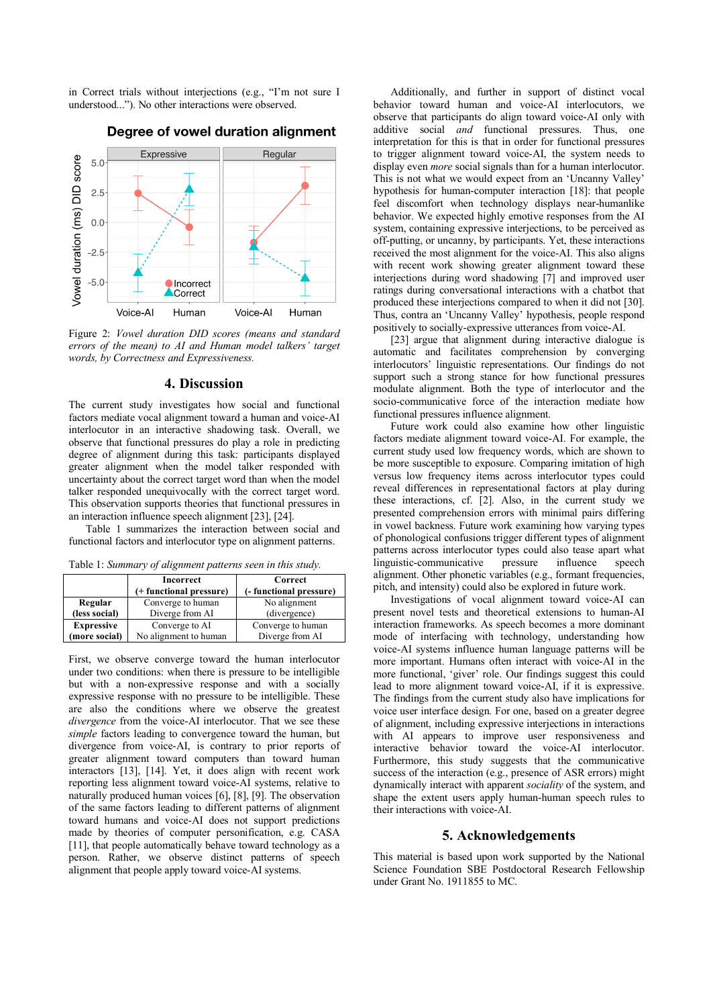in Correct trials without interjections (e.g., "I'm not sure I understood..."). No other interactions were observed.



# Degree of vowel duration alignment

Figure 2: *Vowel duration DID scores (means and standard errors of the mean) to AI and Human model talkers' target words, by Correctness and Expressiveness.*

## **4. Discussion**

The current study investigates how social and functional factors mediate vocal alignment toward a human and voice-AI interlocutor in an interactive shadowing task. Overall, we observe that functional pressures do play a role in predicting degree of alignment during this task: participants displayed greater alignment when the model talker responded with uncertainty about the correct target word than when the model talker responded unequivocally with the correct target word. This observation supports theories that functional pressures in an interaction influence speech alignment [23], [24].

Table 1 summarizes the interaction between social and functional factors and interlocutor type on alignment patterns.

| Table 1: Summary of alignment patterns seen in this study. |  |  |
|------------------------------------------------------------|--|--|
|------------------------------------------------------------|--|--|

|                   | <b>Incorrect</b>        | Correct                 |
|-------------------|-------------------------|-------------------------|
|                   | (+ functional pressure) | (- functional pressure) |
| Regular           | Converge to human       | No alignment            |
| (less social)     | Diverge from AI         | (divergence)            |
| <b>Expressive</b> | Converge to AI          | Converge to human       |
| (more social)     | No alignment to human   | Diverge from AI         |
|                   |                         |                         |

First, we observe converge toward the human interlocutor under two conditions: when there is pressure to be intelligible but with a non-expressive response and with a socially expressive response with no pressure to be intelligible. These are also the conditions where we observe the greatest *divergence* from the voice-AI interlocutor. That we see these *simple* factors leading to convergence toward the human, but divergence from voice-AI, is contrary to prior reports of greater alignment toward computers than toward human interactors [13], [14]. Yet, it does align with recent work reporting less alignment toward voice-AI systems, relative to naturally produced human voices [6], [8], [9]. The observation of the same factors leading to different patterns of alignment toward humans and voice-AI does not support predictions made by theories of computer personification, e.g. CASA [11], that people automatically behave toward technology as a person. Rather, we observe distinct patterns of speech alignment that people apply toward voice-AI systems.

Additionally, and further in support of distinct vocal behavior toward human and voice-AI interlocutors, we observe that participants do align toward voice-AI only with additive social *and* functional pressures. Thus, one interpretation for this is that in order for functional pressures to trigger alignment toward voice-AI, the system needs to display even *more* social signals than for a human interlocutor. This is not what we would expect from an 'Uncanny Valley' hypothesis for human-computer interaction [18]: that people feel discomfort when technology displays near-humanlike behavior. We expected highly emotive responses from the AI system, containing expressive interjections, to be perceived as off-putting, or uncanny, by participants. Yet, these interactions received the most alignment for the voice-AI. This also aligns with recent work showing greater alignment toward these interjections during word shadowing [7] and improved user ratings during conversational interactions with a chatbot that produced these interjections compared to when it did not [30]. Thus, contra an 'Uncanny Valley' hypothesis, people respond positively to socially-expressive utterances from voice-AI.

[23] argue that alignment during interactive dialogue is automatic and facilitates comprehension by converging interlocutors' linguistic representations. Our findings do not support such a strong stance for how functional pressures modulate alignment. Both the type of interlocutor and the socio-communicative force of the interaction mediate how functional pressures influence alignment.

Future work could also examine how other linguistic factors mediate alignment toward voice-AI. For example, the current study used low frequency words, which are shown to be more susceptible to exposure. Comparing imitation of high versus low frequency items across interlocutor types could reveal differences in representational factors at play during these interactions, cf. [2]. Also, in the current study we presented comprehension errors with minimal pairs differing in vowel backness. Future work examining how varying types of phonological confusions trigger different types of alignment patterns across interlocutor types could also tease apart what linguistic-communicative pressure influence speech alignment. Other phonetic variables (e.g., formant frequencies, pitch, and intensity) could also be explored in future work.

Investigations of vocal alignment toward voice-AI can present novel tests and theoretical extensions to human-AI interaction frameworks. As speech becomes a more dominant mode of interfacing with technology, understanding how voice-AI systems influence human language patterns will be more important. Humans often interact with voice-AI in the more functional, 'giver' role. Our findings suggest this could lead to more alignment toward voice-AI, if it is expressive. The findings from the current study also have implications for voice user interface design. For one, based on a greater degree of alignment, including expressive interjections in interactions with AI appears to improve user responsiveness and interactive behavior toward the voice-AI interlocutor. Furthermore, this study suggests that the communicative success of the interaction (e.g., presence of ASR errors) might dynamically interact with apparent *sociality* of the system, and shape the extent users apply human-human speech rules to their interactions with voice-AI.

## **5. Acknowledgements**

This material is based upon work supported by the National Science Foundation SBE Postdoctoral Research Fellowship under Grant No. 1911855 to MC.